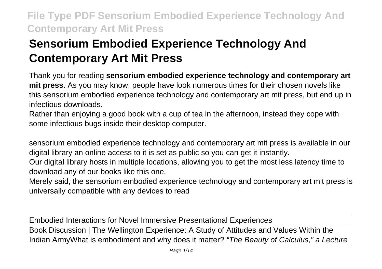# **Sensorium Embodied Experience Technology And Contemporary Art Mit Press**

Thank you for reading **sensorium embodied experience technology and contemporary art mit press**. As you may know, people have look numerous times for their chosen novels like this sensorium embodied experience technology and contemporary art mit press, but end up in infectious downloads.

Rather than enjoying a good book with a cup of tea in the afternoon, instead they cope with some infectious bugs inside their desktop computer.

sensorium embodied experience technology and contemporary art mit press is available in our digital library an online access to it is set as public so you can get it instantly.

Our digital library hosts in multiple locations, allowing you to get the most less latency time to download any of our books like this one.

Merely said, the sensorium embodied experience technology and contemporary art mit press is universally compatible with any devices to read

Embodied Interactions for Novel Immersive Presentational Experiences Book Discussion | The Wellington Experience: A Study of Attitudes and Values Within the Indian Army What is embodiment and why does it matter? "The Beauty of Calculus," a Lecture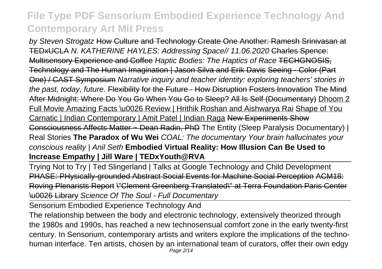by Steven Strogatz How Culture and Technology Create One Another: Ramesh Srinivasan at TEDxUCLA N. KATHERINE HAYLES: Addressing Space// 11.06.2020 Charles Spence: Multisensory Experience and Coffee Haptic Bodies: The Haptics of Race TECHGNOSIS, Technology and The Human Imagination | Jason Silva and Erik Davis Seeing - Color (Part One) / CAST Symposium Narrative inquiry and teacher identity: exploring teachers' stories in the past, today, future. Flexibility for the Future - How Disruption Fosters Innovation The Mind After Midnight: Where Do You Go When You Go to Sleep? All Is Self (Documentary) Dhoom 2 Full Movie Amazing Facts \u0026 Review | Hrithik Roshan and Aishwarya Rai Shape of You Carnatic | Indian Contemporary | Amit Patel | Indian Raga New Experiments Show Consciousness Affects Matter ~ Dean Radin, PhD The Entity (Sleep Paralysis Documentary) | Real Stories **The Paradox of Wu Wei** COAL: The documentary Your brain hallucinates your conscious reality | Anil Seth **Embodied Virtual Reality: How Illusion Can Be Used to Increase Empathy | Jill Ware | TEDxYouth@RVA**

Trying Not to Try | Ted Slingerland | Talks at Google Technology and Child Development PHASE: PHysically-grounded Abstract Social Events for Machine Social Perception ACM18: Roving Plenarists Report \"Clement Greenberg Translated\" at Terra Foundation Paris Center \u0026 Library Science Of The Soul - Full Documentary

Sensorium Embodied Experience Technology And

The relationship between the body and electronic technology, extensively theorized through the 1980s and 1990s, has reached a new technosensual comfort zone in the early twenty-first century. In Sensorium, contemporary artists and writers explore the implications of the technohuman interface. Ten artists, chosen by an international team of curators, offer their own edgy Page 2/14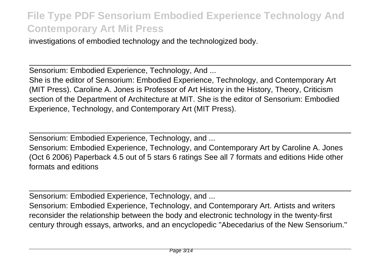investigations of embodied technology and the technologized body.

Sensorium: Embodied Experience, Technology, And ...

She is the editor of Sensorium: Embodied Experience, Technology, and Contemporary Art (MIT Press). Caroline A. Jones is Professor of Art History in the History, Theory, Criticism section of the Department of Architecture at MIT. She is the editor of Sensorium: Embodied Experience, Technology, and Contemporary Art (MIT Press).

Sensorium: Embodied Experience, Technology, and ...

Sensorium: Embodied Experience, Technology, and Contemporary Art by Caroline A. Jones (Oct 6 2006) Paperback 4.5 out of 5 stars 6 ratings See all 7 formats and editions Hide other formats and editions

Sensorium: Embodied Experience, Technology, and ...

Sensorium: Embodied Experience, Technology, and Contemporary Art. Artists and writers reconsider the relationship between the body and electronic technology in the twenty-first century through essays, artworks, and an encyclopedic "Abecedarius of the New Sensorium."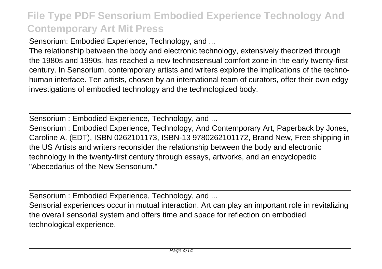Sensorium: Embodied Experience, Technology, and ...

The relationship between the body and electronic technology, extensively theorized through the 1980s and 1990s, has reached a new technosensual comfort zone in the early twenty-first century. In Sensorium, contemporary artists and writers explore the implications of the technohuman interface. Ten artists, chosen by an international team of curators, offer their own edgy investigations of embodied technology and the technologized body.

Sensorium : Embodied Experience, Technology, and ...

Sensorium : Embodied Experience, Technology, And Contemporary Art, Paperback by Jones, Caroline A. (EDT), ISBN 0262101173, ISBN-13 9780262101172, Brand New, Free shipping in the US Artists and writers reconsider the relationship between the body and electronic technology in the twenty-first century through essays, artworks, and an encyclopedic "Abecedarius of the New Sensorium."

Sensorium : Embodied Experience, Technology, and ...

Sensorial experiences occur in mutual interaction. Art can play an important role in revitalizing the overall sensorial system and offers time and space for reflection on embodied technological experience.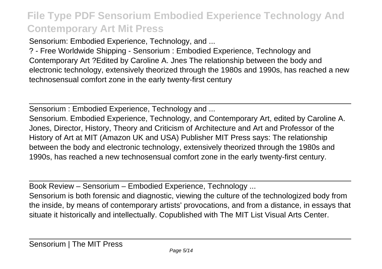Sensorium: Embodied Experience, Technology, and ...

? - Free Worldwide Shipping - Sensorium : Embodied Experience, Technology and Contemporary Art ?Edited by Caroline A. Jnes The relationship between the body and electronic technology, extensively theorized through the 1980s and 1990s, has reached a new technosensual comfort zone in the early twenty-first century

Sensorium : Embodied Experience, Technology and ...

Sensorium. Embodied Experience, Technology, and Contemporary Art, edited by Caroline A. Jones, Director, History, Theory and Criticism of Architecture and Art and Professor of the History of Art at MIT (Amazon UK and USA) Publisher MIT Press says: The relationship between the body and electronic technology, extensively theorized through the 1980s and 1990s, has reached a new technosensual comfort zone in the early twenty-first century.

Book Review – Sensorium – Embodied Experience, Technology ...

Sensorium is both forensic and diagnostic, viewing the culture of the technologized body from the inside, by means of contemporary artists' provocations, and from a distance, in essays that situate it historically and intellectually. Copublished with The MIT List Visual Arts Center.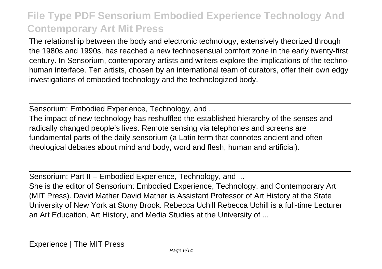The relationship between the body and electronic technology, extensively theorized through the 1980s and 1990s, has reached a new technosensual comfort zone in the early twenty-first century. In Sensorium, contemporary artists and writers explore the implications of the technohuman interface. Ten artists, chosen by an international team of curators, offer their own edgy investigations of embodied technology and the technologized body.

Sensorium: Embodied Experience, Technology, and ...

The impact of new technology has reshuffled the established hierarchy of the senses and radically changed people's lives. Remote sensing via telephones and screens are fundamental parts of the daily sensorium (a Latin term that connotes ancient and often theological debates about mind and body, word and flesh, human and artificial).

Sensorium: Part II – Embodied Experience, Technology, and ...

She is the editor of Sensorium: Embodied Experience, Technology, and Contemporary Art (MIT Press). David Mather David Mather is Assistant Professor of Art History at the State University of New York at Stony Brook. Rebecca Uchill Rebecca Uchill is a full-time Lecturer an Art Education, Art History, and Media Studies at the University of ...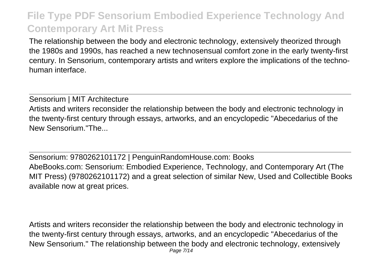The relationship between the body and electronic technology, extensively theorized through the 1980s and 1990s, has reached a new technosensual comfort zone in the early twenty-first century. In Sensorium, contemporary artists and writers explore the implications of the technohuman interface.

Sensorium | MIT Architecture Artists and writers reconsider the relationship between the body and electronic technology in the twenty-first century through essays, artworks, and an encyclopedic "Abecedarius of the New Sensorium."The...

Sensorium: 9780262101172 | PenguinRandomHouse.com: Books AbeBooks.com: Sensorium: Embodied Experience, Technology, and Contemporary Art (The MIT Press) (9780262101172) and a great selection of similar New, Used and Collectible Books available now at great prices.

Artists and writers reconsider the relationship between the body and electronic technology in the twenty-first century through essays, artworks, and an encyclopedic "Abecedarius of the New Sensorium." The relationship between the body and electronic technology, extensively Page 7/14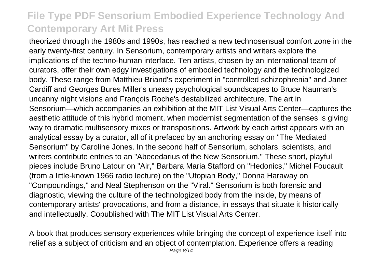theorized through the 1980s and 1990s, has reached a new technosensual comfort zone in the early twenty-first century. In Sensorium, contemporary artists and writers explore the implications of the techno-human interface. Ten artists, chosen by an international team of curators, offer their own edgy investigations of embodied technology and the technologized body. These range from Matthieu Briand's experiment in "controlled schizophrenia" and Janet Cardiff and Georges Bures Miller's uneasy psychological soundscapes to Bruce Nauman's uncanny night visions and François Roche's destabilized architecture. The art in Sensorium—which accompanies an exhibition at the MIT List Visual Arts Center—captures the aesthetic attitude of this hybrid moment, when modernist segmentation of the senses is giving way to dramatic multisensory mixes or transpositions. Artwork by each artist appears with an analytical essay by a curator, all of it prefaced by an anchoring essay on "The Mediated Sensorium" by Caroline Jones. In the second half of Sensorium, scholars, scientists, and writers contribute entries to an "Abecedarius of the New Sensorium." These short, playful pieces include Bruno Latour on "Air," Barbara Maria Stafford on "Hedonics," Michel Foucault (from a little-known 1966 radio lecture) on the "Utopian Body," Donna Haraway on "Compoundings," and Neal Stephenson on the "Viral." Sensorium is both forensic and diagnostic, viewing the culture of the technologized body from the inside, by means of contemporary artists' provocations, and from a distance, in essays that situate it historically and intellectually. Copublished with The MIT List Visual Arts Center.

A book that produces sensory experiences while bringing the concept of experience itself into relief as a subject of criticism and an object of contemplation. Experience offers a reading Page 8/14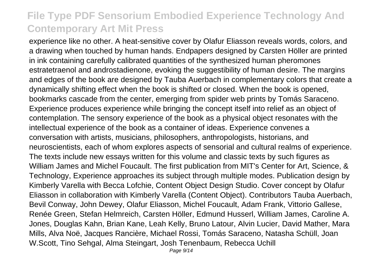experience like no other. A heat-sensitive cover by Olafur Eliasson reveals words, colors, and a drawing when touched by human hands. Endpapers designed by Carsten Höller are printed in ink containing carefully calibrated quantities of the synthesized human pheromones estratetraenol and androstadienone, evoking the suggestibility of human desire. The margins and edges of the book are designed by Tauba Auerbach in complementary colors that create a dynamically shifting effect when the book is shifted or closed. When the book is opened, bookmarks cascade from the center, emerging from spider web prints by Tomás Saraceno. Experience produces experience while bringing the concept itself into relief as an object of contemplation. The sensory experience of the book as a physical object resonates with the intellectual experience of the book as a container of ideas. Experience convenes a conversation with artists, musicians, philosophers, anthropologists, historians, and neuroscientists, each of whom explores aspects of sensorial and cultural realms of experience. The texts include new essays written for this volume and classic texts by such figures as William James and Michel Foucault. The first publication from MIT's Center for Art, Science, & Technology, Experience approaches its subject through multiple modes. Publication design by Kimberly Varella with Becca Lofchie, Content Object Design Studio. Cover concept by Olafur Eliasson in collaboration with Kimberly Varella (Content Object). Contributors Tauba Auerbach, Bevil Conway, John Dewey, Olafur Eliasson, Michel Foucault, Adam Frank, Vittorio Gallese, Renée Green, Stefan Helmreich, Carsten Höller, Edmund Husserl, William James, Caroline A. Jones, Douglas Kahn, Brian Kane, Leah Kelly, Bruno Latour, Alvin Lucier, David Mather, Mara Mills, Alva Noë, Jacques Rancière, Michael Rossi, Tomás Saraceno, Natasha Schüll, Joan W.Scott, Tino Sehgal, Alma Steingart, Josh Tenenbaum, Rebecca Uchill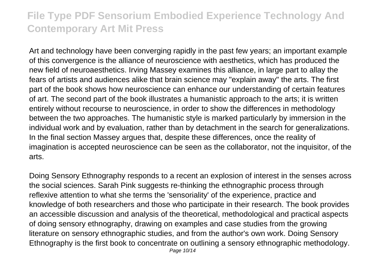Art and technology have been converging rapidly in the past few years; an important example of this convergence is the alliance of neuroscience with aesthetics, which has produced the new field of neuroaesthetics. Irving Massey examines this alliance, in large part to allay the fears of artists and audiences alike that brain science may "explain away" the arts. The first part of the book shows how neuroscience can enhance our understanding of certain features of art. The second part of the book illustrates a humanistic approach to the arts; it is written entirely without recourse to neuroscience, in order to show the differences in methodology between the two approaches. The humanistic style is marked particularly by immersion in the individual work and by evaluation, rather than by detachment in the search for generalizations. In the final section Massey argues that, despite these differences, once the reality of imagination is accepted neuroscience can be seen as the collaborator, not the inquisitor, of the arts.

Doing Sensory Ethnography responds to a recent an explosion of interest in the senses across the social sciences. Sarah Pink suggests re-thinking the ethnographic process through reflexive attention to what she terms the 'sensoriality' of the experience, practice and knowledge of both researchers and those who participate in their research. The book provides an accessible discussion and analysis of the theoretical, methodological and practical aspects of doing sensory ethnography, drawing on examples and case studies from the growing literature on sensory ethnographic studies, and from the author's own work. Doing Sensory Ethnography is the first book to concentrate on outlining a sensory ethnographic methodology.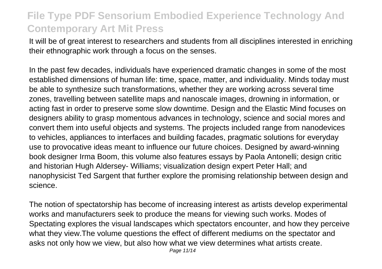It will be of great interest to researchers and students from all disciplines interested in enriching their ethnographic work through a focus on the senses.

In the past few decades, individuals have experienced dramatic changes in some of the most established dimensions of human life: time, space, matter, and individuality. Minds today must be able to synthesize such transformations, whether they are working across several time zones, travelling between satellite maps and nanoscale images, drowning in information, or acting fast in order to preserve some slow downtime. Design and the Elastic Mind focuses on designers ability to grasp momentous advances in technology, science and social mores and convert them into useful objects and systems. The projects included range from nanodevices to vehicles, appliances to interfaces and building facades, pragmatic solutions for everyday use to provocative ideas meant to influence our future choices. Designed by award-winning book designer Irma Boom, this volume also features essays by Paola Antonelli; design critic and historian Hugh Aldersey- Williams; visualization design expert Peter Hall; and nanophysicist Ted Sargent that further explore the promising relationship between design and science.

The notion of spectatorship has become of increasing interest as artists develop experimental works and manufacturers seek to produce the means for viewing such works. Modes of Spectating explores the visual landscapes which spectators encounter, and how they perceive what they view.The volume questions the effect of different mediums on the spectator and asks not only how we view, but also how what we view determines what artists create.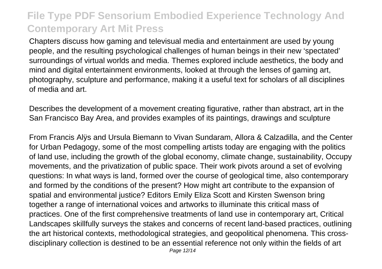Chapters discuss how gaming and televisual media and entertainment are used by young people, and the resulting psychological challenges of human beings in their new 'spectated' surroundings of virtual worlds and media. Themes explored include aesthetics, the body and mind and digital entertainment environments, looked at through the lenses of gaming art, photography, sculpture and performance, making it a useful text for scholars of all disciplines of media and art.

Describes the development of a movement creating figurative, rather than abstract, art in the San Francisco Bay Area, and provides examples of its paintings, drawings and sculpture

From Francis Alÿs and Ursula Biemann to Vivan Sundaram, Allora & Calzadilla, and the Center for Urban Pedagogy, some of the most compelling artists today are engaging with the politics of land use, including the growth of the global economy, climate change, sustainability, Occupy movements, and the privatization of public space. Their work pivots around a set of evolving questions: In what ways is land, formed over the course of geological time, also contemporary and formed by the conditions of the present? How might art contribute to the expansion of spatial and environmental justice? Editors Emily Eliza Scott and Kirsten Swenson bring together a range of international voices and artworks to illuminate this critical mass of practices. One of the first comprehensive treatments of land use in contemporary art, Critical Landscapes skillfully surveys the stakes and concerns of recent land-based practices, outlining the art historical contexts, methodological strategies, and geopolitical phenomena. This crossdisciplinary collection is destined to be an essential reference not only within the fields of art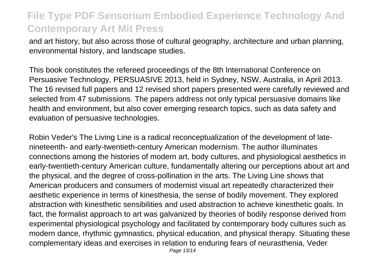and art history, but also across those of cultural geography, architecture and urban planning, environmental history, and landscape studies.

This book constitutes the refereed proceedings of the 8th International Conference on Persuasive Technology, PERSUASIVE 2013, held in Sydney, NSW, Australia, in April 2013. The 16 revised full papers and 12 revised short papers presented were carefully reviewed and selected from 47 submissions. The papers address not only typical persuasive domains like health and environment, but also cover emerging research topics, such as data safety and evaluation of persuasive technologies.

Robin Veder's The Living Line is a radical reconceptualization of the development of latenineteenth- and early-twentieth-century American modernism. The author illuminates connections among the histories of modern art, body cultures, and physiological aesthetics in early-twentieth-century American culture, fundamentally altering our perceptions about art and the physical, and the degree of cross-pollination in the arts. The Living Line shows that American producers and consumers of modernist visual art repeatedly characterized their aesthetic experience in terms of kinesthesia, the sense of bodily movement. They explored abstraction with kinesthetic sensibilities and used abstraction to achieve kinesthetic goals. In fact, the formalist approach to art was galvanized by theories of bodily response derived from experimental physiological psychology and facilitated by contemporary body cultures such as modern dance, rhythmic gymnastics, physical education, and physical therapy. Situating these complementary ideas and exercises in relation to enduring fears of neurasthenia, Veder